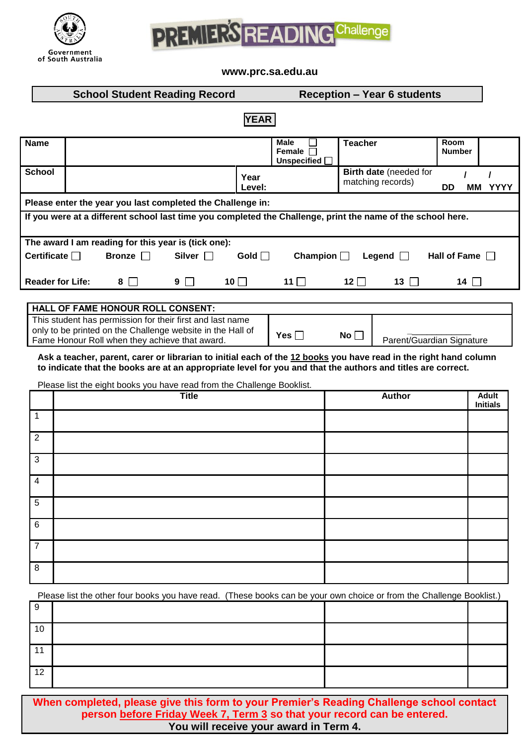



**www.prc.sa.edu.au**

|                                                                                                                                                                                                                                 | <b>School Student Reading Record</b> |                                                     |                |            | <b>Reception - Year 6 students</b> |                                                        |                |                                             |                       |             |
|---------------------------------------------------------------------------------------------------------------------------------------------------------------------------------------------------------------------------------|--------------------------------------|-----------------------------------------------------|----------------|------------|------------------------------------|--------------------------------------------------------|----------------|---------------------------------------------|-----------------------|-------------|
| <b>YEAR</b>                                                                                                                                                                                                                     |                                      |                                                     |                |            |                                    |                                                        |                |                                             |                       |             |
| <b>Name</b>                                                                                                                                                                                                                     |                                      |                                                     |                |            |                                    | <b>Male</b><br>Female<br>$\mathbf{L}$<br>Unspecified [ | <b>Teacher</b> |                                             | Room<br><b>Number</b> |             |
| <b>School</b>                                                                                                                                                                                                                   |                                      |                                                     |                | Year       | Level:                             |                                                        |                | Birth date (needed for<br>matching records) | DD<br>MМ              | <b>YYYY</b> |
| Please enter the year you last completed the Challenge in:                                                                                                                                                                      |                                      |                                                     |                |            |                                    |                                                        |                |                                             |                       |             |
| If you were at a different school last time you completed the Challenge, print the name of the school here.                                                                                                                     |                                      |                                                     |                |            |                                    |                                                        |                |                                             |                       |             |
|                                                                                                                                                                                                                                 |                                      | The award I am reading for this year is (tick one): |                |            |                                    |                                                        |                |                                             |                       |             |
| Certificate $\Box$                                                                                                                                                                                                              |                                      | Bronze                                              | Silver $\Box$  |            | Gold $\Box$                        | Champion $\Box$                                        |                | Legend                                      | Hall of Fame $\Box$   |             |
| <b>Reader for Life:</b>                                                                                                                                                                                                         |                                      | 8                                                   | 9 <sub>1</sub> | 10 $\Box$  |                                    | 11 $\Box$                                              | $12$           | $13$ $\Box$                                 | 14 $\Box$             |             |
| <b>HALL OF FAME HONOUR ROLL CONSENT:</b>                                                                                                                                                                                        |                                      |                                                     |                |            |                                    |                                                        |                |                                             |                       |             |
| This student has permission for their first and last name<br>only to be printed on the Challenge website in the Hall of<br>Fame Honour Roll when they achieve that award.                                                       |                                      |                                                     |                | Yes $\Box$ | No $\Box$                          | Parent/Guardian Signature                              |                |                                             |                       |             |
| Ask a teacher, parent, carer or librarian to initial each of the 12 books you have read in the right hand column<br>to indicate that the books are at an appropriate level for you and that the authors and titles are correct. |                                      |                                                     |                |            |                                    |                                                        |                |                                             |                       |             |
| Please list the eight books you have read from the Challenge Booklist.                                                                                                                                                          |                                      |                                                     |                |            |                                    |                                                        |                |                                             |                       |             |

|                | <b>Title</b> | Author | Adult<br>Initials |
|----------------|--------------|--------|-------------------|
| 1              |              |        |                   |
| $\overline{2}$ |              |        |                   |
| $\mathbf{3}$   |              |        |                   |
| $\overline{4}$ |              |        |                   |
| $\overline{5}$ |              |        |                   |
| $6\phantom{1}$ |              |        |                   |
| $\overline{7}$ |              |        |                   |
| 8              |              |        |                   |

Please list the other four books you have read. (These books can be your own choice or from the Challenge Booklist.)

| 10 |  |  |
|----|--|--|
|    |  |  |
| 12 |  |  |

**When completed, please give this form to your Premier's Reading Challenge school contact person before Friday Week 7, Term 3 so that your record can be entered. You will receive your award in Term 4.**